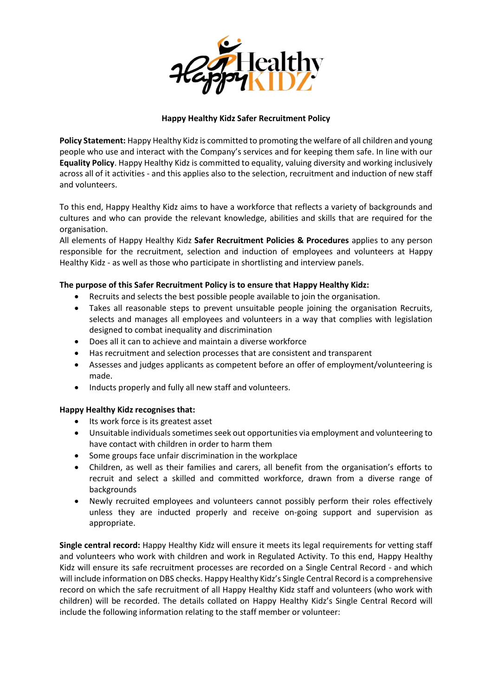

# **Happy Healthy Kidz Safer Recruitment Policy**

**Policy Statement:** Happy Healthy Kidzis committed to promoting the welfare of all children and young people who use and interact with the Company's services and for keeping them safe. In line with our **Equality Policy**. Happy Healthy Kidz is committed to equality, valuing diversity and working inclusively across all of it activities - and this applies also to the selection, recruitment and induction of new staff and volunteers.

To this end, Happy Healthy Kidz aims to have a workforce that reflects a variety of backgrounds and cultures and who can provide the relevant knowledge, abilities and skills that are required for the organisation.

All elements of Happy Healthy Kidz **Safer Recruitment Policies & Procedures** applies to any person responsible for the recruitment, selection and induction of employees and volunteers at Happy Healthy Kidz - as well as those who participate in shortlisting and interview panels.

## **The purpose of this Safer Recruitment Policy is to ensure that Happy Healthy Kidz:**

- Recruits and selects the best possible people available to join the organisation.
- Takes all reasonable steps to prevent unsuitable people joining the organisation Recruits, selects and manages all employees and volunteers in a way that complies with legislation designed to combat inequality and discrimination
- Does all it can to achieve and maintain a diverse workforce
- Has recruitment and selection processes that are consistent and transparent
- Assesses and judges applicants as competent before an offer of employment/volunteering is made.
- Inducts properly and fully all new staff and volunteers.

### **Happy Healthy Kidz recognises that:**

- Its work force is its greatest asset
- Unsuitable individuals sometimes seek out opportunities via employment and volunteering to have contact with children in order to harm them
- Some groups face unfair discrimination in the workplace
- Children, as well as their families and carers, all benefit from the organisation's efforts to recruit and select a skilled and committed workforce, drawn from a diverse range of backgrounds
- Newly recruited employees and volunteers cannot possibly perform their roles effectively unless they are inducted properly and receive on-going support and supervision as appropriate.

**Single central record:** Happy Healthy Kidz will ensure it meets its legal requirements for vetting staff and volunteers who work with children and work in Regulated Activity. To this end, Happy Healthy Kidz will ensure its safe recruitment processes are recorded on a Single Central Record - and which will include information on DBS checks. Happy Healthy Kidz's Single Central Record is a comprehensive record on which the safe recruitment of all Happy Healthy Kidz staff and volunteers (who work with children) will be recorded. The details collated on Happy Healthy Kidz's Single Central Record will include the following information relating to the staff member or volunteer: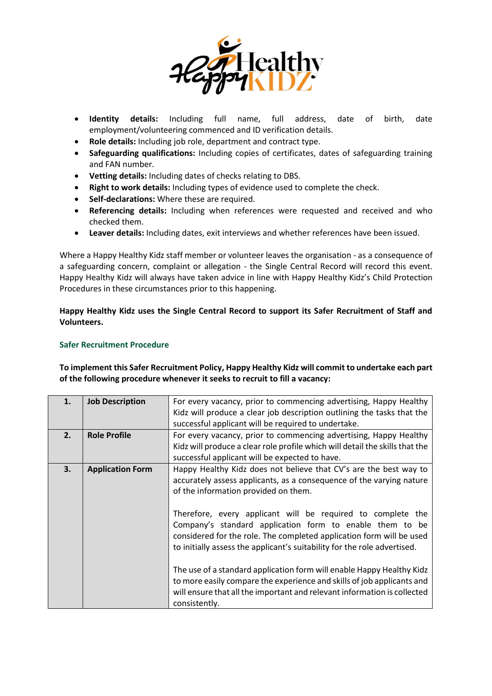

- **Identity details:** Including full name, full address, date of birth, date employment/volunteering commenced and ID verification details.
- **Role details:** Including job role, department and contract type.
- **Safeguarding qualifications:** Including copies of certificates, dates of safeguarding training and FAN number.
- **Vetting details:** Including dates of checks relating to DBS.
- **Right to work details:** Including types of evidence used to complete the check.
- **Self-declarations:** Where these are required.
- **Referencing details:** Including when references were requested and received and who checked them.
- **Leaver details:** Including dates, exit interviews and whether references have been issued.

Where a Happy Healthy Kidz staff member or volunteer leaves the organisation - as a consequence of a safeguarding concern, complaint or allegation - the Single Central Record will record this event. Happy Healthy Kidz will always have taken advice in line with Happy Healthy Kidz's Child Protection Procedures in these circumstances prior to this happening.

# **Happy Healthy Kidz uses the Single Central Record to support its Safer Recruitment of Staff and Volunteers.**

# **Safer Recruitment Procedure**

**To implement this Safer Recruitment Policy, Happy Healthy Kidz will commit to undertake each part of the following procedure whenever it seeks to recruit to fill a vacancy:** 

| 1. | <b>Job Description</b>  | For every vacancy, prior to commencing advertising, Happy Healthy                                                                                                                                                                                                           |
|----|-------------------------|-----------------------------------------------------------------------------------------------------------------------------------------------------------------------------------------------------------------------------------------------------------------------------|
|    |                         | Kidz will produce a clear job description outlining the tasks that the                                                                                                                                                                                                      |
|    |                         | successful applicant will be required to undertake.                                                                                                                                                                                                                         |
| 2. | <b>Role Profile</b>     | For every vacancy, prior to commencing advertising, Happy Healthy                                                                                                                                                                                                           |
|    |                         | Kidz will produce a clear role profile which will detail the skills that the<br>successful applicant will be expected to have.                                                                                                                                              |
| 3. | <b>Application Form</b> | Happy Healthy Kidz does not believe that CV's are the best way to<br>accurately assess applicants, as a consequence of the varying nature<br>of the information provided on them.                                                                                           |
|    |                         | Therefore, every applicant will be required to complete the<br>Company's standard application form to enable them to be<br>considered for the role. The completed application form will be used<br>to initially assess the applicant's suitability for the role advertised. |
|    |                         | The use of a standard application form will enable Happy Healthy Kidz<br>to more easily compare the experience and skills of job applicants and<br>will ensure that all the important and relevant information is collected<br>consistently.                                |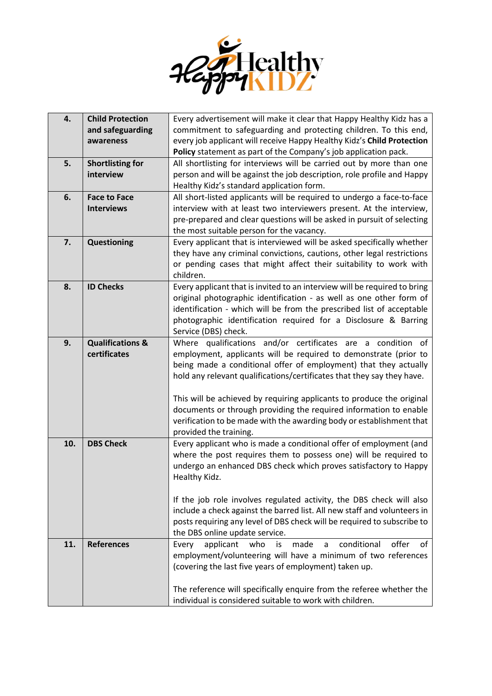

| 4.  | <b>Child Protection</b>     | Every advertisement will make it clear that Happy Healthy Kidz has a       |
|-----|-----------------------------|----------------------------------------------------------------------------|
|     | and safeguarding            | commitment to safeguarding and protecting children. To this end,           |
|     | awareness                   | every job applicant will receive Happy Healthy Kidz's Child Protection     |
|     |                             | Policy statement as part of the Company's job application pack.            |
| 5.  | <b>Shortlisting for</b>     | All shortlisting for interviews will be carried out by more than one       |
|     | interview                   | person and will be against the job description, role profile and Happy     |
|     |                             | Healthy Kidz's standard application form.                                  |
| 6.  | <b>Face to Face</b>         | All short-listed applicants will be required to undergo a face-to-face     |
|     | <b>Interviews</b>           | interview with at least two interviewers present. At the interview,        |
|     |                             | pre-prepared and clear questions will be asked in pursuit of selecting     |
|     |                             | the most suitable person for the vacancy.                                  |
| 7.  | Questioning                 | Every applicant that is interviewed will be asked specifically whether     |
|     |                             | they have any criminal convictions, cautions, other legal restrictions     |
|     |                             | or pending cases that might affect their suitability to work with          |
|     |                             | children.                                                                  |
| 8.  | <b>ID Checks</b>            | Every applicant that is invited to an interview will be required to bring  |
|     |                             | original photographic identification - as well as one other form of        |
|     |                             | identification - which will be from the prescribed list of acceptable      |
|     |                             | photographic identification required for a Disclosure & Barring            |
|     |                             | Service (DBS) check.                                                       |
| 9.  | <b>Qualifications &amp;</b> | Where qualifications and/or certificates are a condition of                |
|     | certificates                | employment, applicants will be required to demonstrate (prior to           |
|     |                             | being made a conditional offer of employment) that they actually           |
|     |                             | hold any relevant qualifications/certificates that they say they have.     |
|     |                             |                                                                            |
|     |                             | This will be achieved by requiring applicants to produce the original      |
|     |                             | documents or through providing the required information to enable          |
|     |                             | verification to be made with the awarding body or establishment that       |
|     |                             | provided the training.                                                     |
| 10. | <b>DBS Check</b>            | Every applicant who is made a conditional offer of employment (and         |
|     |                             | where the post requires them to possess one) will be required to           |
|     |                             | undergo an enhanced DBS check which proves satisfactory to Happy           |
|     |                             | Healthy Kidz.                                                              |
|     |                             |                                                                            |
|     |                             | If the job role involves regulated activity, the DBS check will also       |
|     |                             | include a check against the barred list. All new staff and volunteers in   |
|     |                             | posts requiring any level of DBS check will be required to subscribe to    |
|     |                             | the DBS online update service.                                             |
| 11. | <b>References</b>           | conditional<br>offer<br>who<br>made<br>applicant<br>of<br>Every<br>is<br>a |
|     |                             | employment/volunteering will have a minimum of two references              |
|     |                             | (covering the last five years of employment) taken up.                     |
|     |                             |                                                                            |
|     |                             | The reference will specifically enquire from the referee whether the       |
|     |                             | individual is considered suitable to work with children.                   |